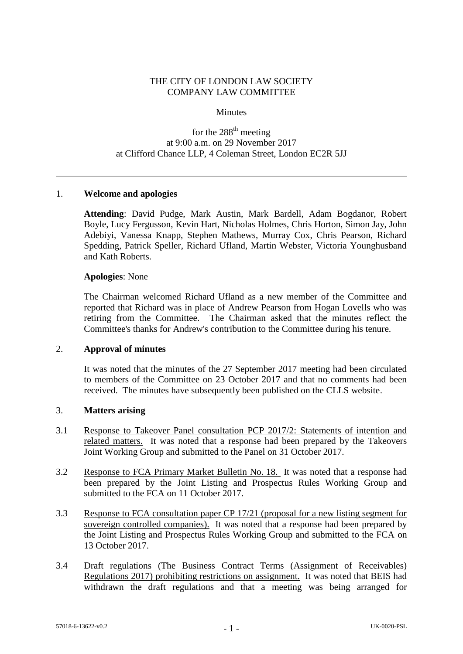## THE CITY OF LONDON LAW SOCIETY COMPANY LAW COMMITTEE

### **Minutes**

# for the 288<sup>th</sup> meeting at 9:00 a.m. on 29 November 2017 at Clifford Chance LLP, 4 Coleman Street, London EC2R 5JJ

### 1. **Welcome and apologies**

**Attending**: David Pudge, Mark Austin, Mark Bardell, Adam Bogdanor, Robert Boyle, Lucy Fergusson, Kevin Hart, Nicholas Holmes, Chris Horton, Simon Jay, John Adebiyi, Vanessa Knapp, Stephen Mathews, Murray Cox, Chris Pearson, Richard Spedding, Patrick Speller, Richard Ufland, Martin Webster, Victoria Younghusband and Kath Roberts.

#### **Apologies**: None

The Chairman welcomed Richard Ufland as a new member of the Committee and reported that Richard was in place of Andrew Pearson from Hogan Lovells who was retiring from the Committee. The Chairman asked that the minutes reflect the Committee's thanks for Andrew's contribution to the Committee during his tenure.

#### 2. **Approval of minutes**

It was noted that the minutes of the 27 September 2017 meeting had been circulated to members of the Committee on 23 October 2017 and that no comments had been received. The minutes have subsequently been published on the CLLS website.

#### 3. **Matters arising**

- 3.1 Response to Takeover Panel consultation PCP 2017/2: Statements of intention and related matters. It was noted that a response had been prepared by the Takeovers Joint Working Group and submitted to the Panel on 31 October 2017.
- 3.2 Response to FCA Primary Market Bulletin No. 18. It was noted that a response had been prepared by the Joint Listing and Prospectus Rules Working Group and submitted to the FCA on 11 October 2017.
- 3.3 Response to FCA consultation paper CP 17/21 (proposal for a new listing segment for sovereign controlled companies). It was noted that a response had been prepared by the Joint Listing and Prospectus Rules Working Group and submitted to the FCA on 13 October 2017.
- 3.4 Draft regulations (The Business Contract Terms (Assignment of Receivables) Regulations 2017) prohibiting restrictions on assignment. It was noted that BEIS had withdrawn the draft regulations and that a meeting was being arranged for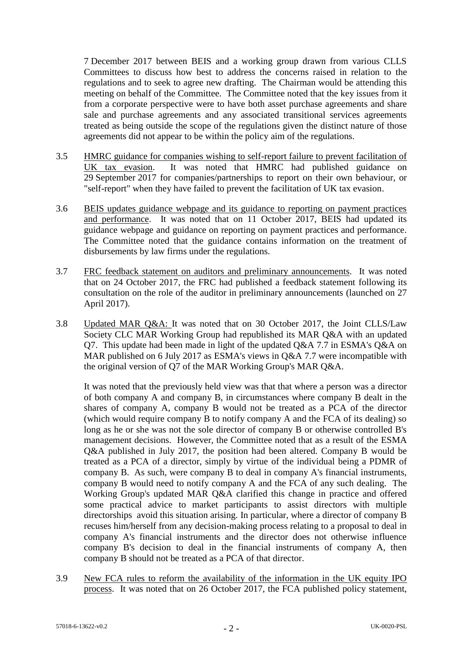7 December 2017 between BEIS and a working group drawn from various CLLS Committees to discuss how best to address the concerns raised in relation to the regulations and to seek to agree new drafting. The Chairman would be attending this meeting on behalf of the Committee. The Committee noted that the key issues from it from a corporate perspective were to have both asset purchase agreements and share sale and purchase agreements and any associated transitional services agreements treated as being outside the scope of the regulations given the distinct nature of those agreements did not appear to be within the policy aim of the regulations.

- 3.5 HMRC guidance for companies wishing to self-report failure to prevent facilitation of UK tax evasion. It was noted that HMRC had published guidance on 29 September 2017 for companies/partnerships to report on their own behaviour, or "self-report" when they have failed to prevent the facilitation of UK tax evasion.
- 3.6 BEIS updates guidance webpage and its guidance to reporting on payment practices and performance. It was noted that on 11 October 2017, BEIS had updated its guidance webpage and guidance on reporting on payment practices and performance. The Committee noted that the guidance contains information on the treatment of disbursements by law firms under the regulations.
- 3.7 FRC feedback statement on auditors and preliminary announcements.It was noted that on 24 October 2017, the FRC had published a feedback statement following its consultation on the role of the auditor in preliminary announcements (launched on 27 April 2017).
- 3.8 Updated MAR Q&A: It was noted that on 30 October 2017, the Joint CLLS/Law Society CLC MAR Working Group had republished its MAR Q&A with an updated Q7. This update had been made in light of the updated Q&A 7.7 in ESMA's Q&A on MAR published on 6 July 2017 as ESMA's views in Q&A 7.7 were incompatible with the original version of Q7 of the MAR Working Group's MAR Q&A.

It was noted that the previously held view was that that where a person was a director of both company A and company B, in circumstances where company B dealt in the shares of company A, company B would not be treated as a PCA of the director (which would require company B to notify company A and the FCA of its dealing) so long as he or she was not the sole director of company B or otherwise controlled B's management decisions. However, the Committee noted that as a result of the ESMA Q&A published in July 2017, the position had been altered. Company B would be treated as a PCA of a director, simply by virtue of the individual being a PDMR of company B. As such, were company B to deal in company A's financial instruments, company B would need to notify company A and the FCA of any such dealing. The Working Group's updated MAR Q&A clarified this change in practice and offered some practical advice to market participants to assist directors with multiple directorships avoid this situation arising. In particular, where a director of company B recuses him/herself from any decision-making process relating to a proposal to deal in company A's financial instruments and the director does not otherwise influence company B's decision to deal in the financial instruments of company A, then company B should not be treated as a PCA of that director.

3.9 New FCA rules to reform the availability of the information in the UK equity IPO process. It was noted that on 26 October 2017, the FCA published policy statement,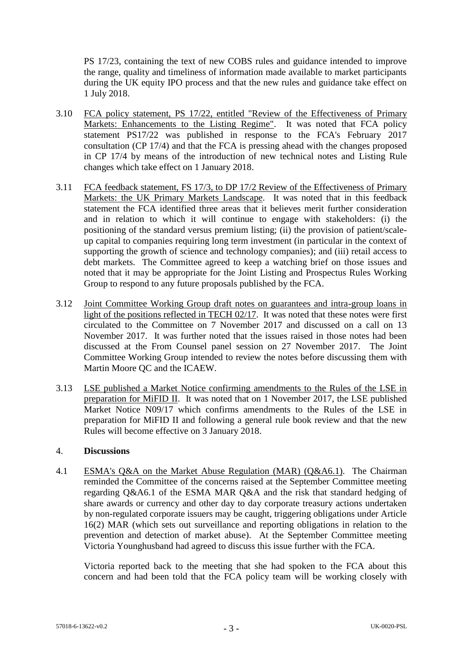PS 17/23, containing the text of new COBS rules and guidance intended to improve the range, quality and timeliness of information made available to market participants during the UK equity IPO process and that the new rules and guidance take effect on 1 July 2018.

- 3.10 FCA policy statement, PS 17/22, entitled "Review of the Effectiveness of Primary Markets: Enhancements to the Listing Regime". It was noted that FCA policy statement PS17/22 was published in response to the FCA's February 2017 consultation (CP 17/4) and that the FCA is pressing ahead with the changes proposed in CP 17/4 by means of the introduction of new technical notes and Listing Rule changes which take effect on 1 January 2018.
- 3.11 FCA feedback statement, FS 17/3, to DP 17/2 Review of the Effectiveness of Primary Markets: the UK Primary Markets Landscape. It was noted that in this feedback statement the FCA identified three areas that it believes merit further consideration and in relation to which it will continue to engage with stakeholders: (i) the positioning of the standard versus premium listing; (ii) the provision of patient/scaleup capital to companies requiring long term investment (in particular in the context of supporting the growth of science and technology companies); and (iii) retail access to debt markets. The Committee agreed to keep a watching brief on those issues and noted that it may be appropriate for the Joint Listing and Prospectus Rules Working Group to respond to any future proposals published by the FCA.
- 3.12 Joint Committee Working Group draft notes on guarantees and intra-group loans in light of the positions reflected in TECH 02/17. It was noted that these notes were first circulated to the Committee on 7 November 2017 and discussed on a call on 13 November 2017. It was further noted that the issues raised in those notes had been discussed at the From Counsel panel session on 27 November 2017. The Joint Committee Working Group intended to review the notes before discussing them with Martin Moore QC and the ICAEW.
- 3.13 LSE published a Market Notice confirming amendments to the Rules of the LSE in preparation for MiFID II. It was noted that on 1 November 2017, the LSE published Market Notice N09/17 which confirms amendments to the Rules of the LSE in preparation for MiFID II and following a general rule book review and that the new Rules will become effective on 3 January 2018.

## 4. **Discussions**

4.1 ESMA's Q&A on the Market Abuse Regulation (MAR) (Q&A6.1). The Chairman reminded the Committee of the concerns raised at the September Committee meeting regarding Q&A6.1 of the ESMA MAR Q&A and the risk that standard hedging of share awards or currency and other day to day corporate treasury actions undertaken by non-regulated corporate issuers may be caught, triggering obligations under Article 16(2) MAR (which sets out surveillance and reporting obligations in relation to the prevention and detection of market abuse). At the September Committee meeting Victoria Younghusband had agreed to discuss this issue further with the FCA.

Victoria reported back to the meeting that she had spoken to the FCA about this concern and had been told that the FCA policy team will be working closely with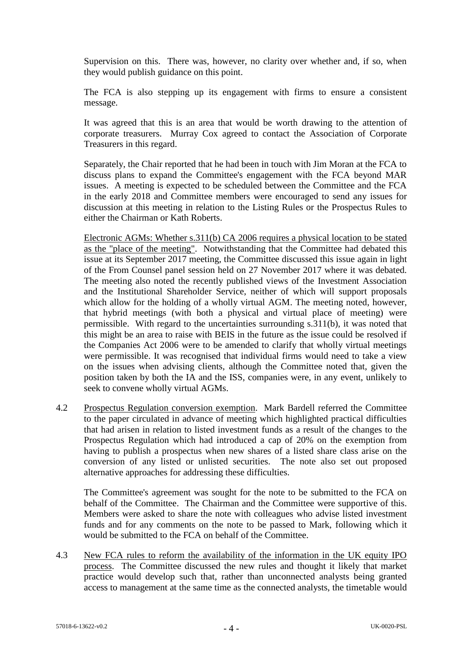Supervision on this. There was, however, no clarity over whether and, if so, when they would publish guidance on this point.

The FCA is also stepping up its engagement with firms to ensure a consistent message.

It was agreed that this is an area that would be worth drawing to the attention of corporate treasurers. Murray Cox agreed to contact the Association of Corporate Treasurers in this regard.

Separately, the Chair reported that he had been in touch with Jim Moran at the FCA to discuss plans to expand the Committee's engagement with the FCA beyond MAR issues. A meeting is expected to be scheduled between the Committee and the FCA in the early 2018 and Committee members were encouraged to send any issues for discussion at this meeting in relation to the Listing Rules or the Prospectus Rules to either the Chairman or Kath Roberts.

Electronic AGMs: Whether s.311(b) CA 2006 requires a physical location to be stated as the "place of the meeting". Notwithstanding that the Committee had debated this issue at its September 2017 meeting, the Committee discussed this issue again in light of the From Counsel panel session held on 27 November 2017 where it was debated. The meeting also noted the recently published views of the Investment Association and the Institutional Shareholder Service, neither of which will support proposals which allow for the holding of a wholly virtual AGM. The meeting noted, however, that hybrid meetings (with both a physical and virtual place of meeting) were permissible. With regard to the uncertainties surrounding s.311(b), it was noted that this might be an area to raise with BEIS in the future as the issue could be resolved if the Companies Act 2006 were to be amended to clarify that wholly virtual meetings were permissible. It was recognised that individual firms would need to take a view on the issues when advising clients, although the Committee noted that, given the position taken by both the IA and the ISS, companies were, in any event, unlikely to seek to convene wholly virtual AGMs.

4.2 Prospectus Regulation conversion exemption. Mark Bardell referred the Committee to the paper circulated in advance of meeting which highlighted practical difficulties that had arisen in relation to listed investment funds as a result of the changes to the Prospectus Regulation which had introduced a cap of 20% on the exemption from having to publish a prospectus when new shares of a listed share class arise on the conversion of any listed or unlisted securities. The note also set out proposed alternative approaches for addressing these difficulties.

The Committee's agreement was sought for the note to be submitted to the FCA on behalf of the Committee. The Chairman and the Committee were supportive of this. Members were asked to share the note with colleagues who advise listed investment funds and for any comments on the note to be passed to Mark, following which it would be submitted to the FCA on behalf of the Committee.

4.3 New FCA rules to reform the availability of the information in the UK equity IPO process. The Committee discussed the new rules and thought it likely that market practice would develop such that, rather than unconnected analysts being granted access to management at the same time as the connected analysts, the timetable would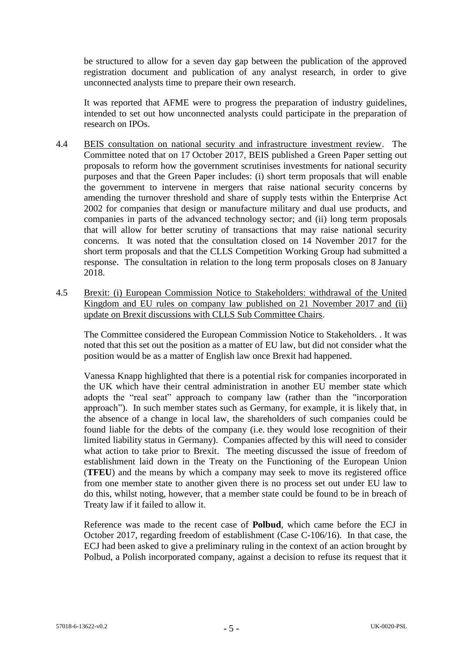be structured to allow for a seven day gap between the publication of the approved registration document and publication of any analyst research, in order to give unconnected analysts time to prepare their own research.

It was reported that AFME were to progress the preparation of industry guidelines, intended to set out how unconnected analysts could participate in the preparation of research on IPOs.

- 4.4 BEIS consultation on national security and infrastructure investment review. The Committee noted that on 17 October 2017, BEIS published a Green Paper setting out proposals to reform how the government scrutinises investments for national security purposes and that the Green Paper includes: (i) short term proposals that will enable the government to intervene in mergers that raise national security concerns by amending the turnover threshold and share of supply tests within the Enterprise Act 2002 for companies that design or manufacture military and dual use products, and companies in parts of the advanced technology sector; and (ii) long term proposals that will allow for better scrutiny of transactions that may raise national security concerns. It was noted that the consultation closed on 14 November 2017 for the short term proposals and that the CLLS Competition Working Group had submitted a response. The consultation in relation to the long term proposals closes on 8 January 2018.
- 4.5 Brexit: (i) European Commission Notice to Stakeholders: withdrawal of the United Kingdom and EU rules on company law published on 21 November 2017 and (ii) update on Brexit discussions with CLLS Sub Committee Chairs.

The Committee considered the European Commission Notice to Stakeholders. . It was noted that this set out the position as a matter of EU law, but did not consider what the position would be as a matter of English law once Brexit had happened.

Vanessa Knapp highlighted that there is a potential risk for companies incorporated in the UK which have their central administration in another EU member state which adopts the "real seat" approach to company law (rather than the "incorporation approach"). In such member states such as Germany, for example, it is likely that, in the absence of a change in local law, the shareholders of such companies could be found liable for the debts of the company (i.e. they would lose recognition of their limited liability status in Germany). Companies affected by this will need to consider what action to take prior to Brexit. The meeting discussed the issue of freedom of establishment laid down in the Treaty on the Functioning of the European Union (**TFEU**) and the means by which a company may seek to move its registered office from one member state to another given there is no process set out under EU law to do this, whilst noting, however, that a member state could be found to be in breach of Treaty law if it failed to allow it.

Reference was made to the recent case of **Polbud**, which came before the ECJ in October 2017, regarding freedom of establishment (Case C-106/16). In that case, the ECJ had been asked to give a preliminary ruling in the context of an action brought by Polbud, a Polish incorporated company, against a decision to refuse its request that it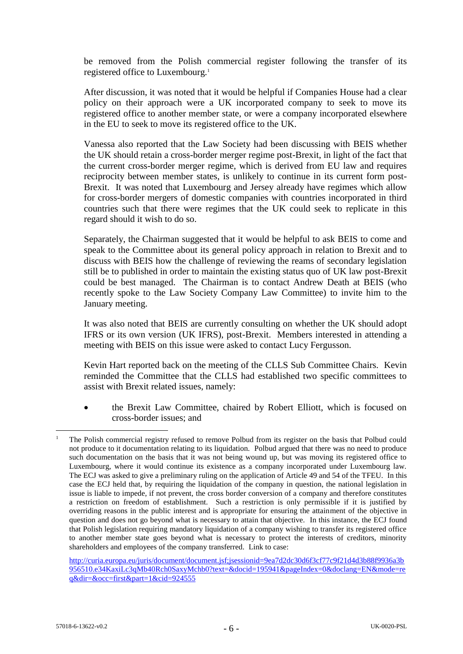be removed from the Polish commercial register following the transfer of its registered office to Luxembourg.<sup>1</sup>

After discussion, it was noted that it would be helpful if Companies House had a clear policy on their approach were a UK incorporated company to seek to move its registered office to another member state, or were a company incorporated elsewhere in the EU to seek to move its registered office to the UK.

Vanessa also reported that the Law Society had been discussing with BEIS whether the UK should retain a cross-border merger regime post-Brexit, in light of the fact that the current cross-border merger regime, which is derived from EU law and requires reciprocity between member states, is unlikely to continue in its current form post-Brexit. It was noted that Luxembourg and Jersey already have regimes which allow for cross-border mergers of domestic companies with countries incorporated in third countries such that there were regimes that the UK could seek to replicate in this regard should it wish to do so.

Separately, the Chairman suggested that it would be helpful to ask BEIS to come and speak to the Committee about its general policy approach in relation to Brexit and to discuss with BEIS how the challenge of reviewing the reams of secondary legislation still be to published in order to maintain the existing status quo of UK law post-Brexit could be best managed. The Chairman is to contact Andrew Death at BEIS (who recently spoke to the Law Society Company Law Committee) to invite him to the January meeting.

It was also noted that BEIS are currently consulting on whether the UK should adopt IFRS or its own version (UK IFRS), post-Brexit. Members interested in attending a meeting with BEIS on this issue were asked to contact Lucy Fergusson.

Kevin Hart reported back on the meeting of the CLLS Sub Committee Chairs. Kevin reminded the Committee that the CLLS had established two specific committees to assist with Brexit related issues, namely:

 the Brexit Law Committee, chaired by Robert Elliott, which is focused on cross-border issues; and

[http://curia.europa.eu/juris/document/document.jsf;jsessionid=9ea7d2dc30d6f3cf77c9f21d4d3b88f9936a3b](http://curia.europa.eu/juris/document/document.jsf;jsessionid=9ea7d2dc30d6f3cf77c9f21d4d3b88f9936a3b956510.e34KaxiLc3qMb40Rch0SaxyMchb0?text=&docid=195941&pageIndex=0&doclang=EN&mode=req&dir=&occ=first&part=1&cid=924555) [956510.e34KaxiLc3qMb40Rch0SaxyMchb0?text=&docid=195941&pageIndex=0&doclang=EN&mode=re](http://curia.europa.eu/juris/document/document.jsf;jsessionid=9ea7d2dc30d6f3cf77c9f21d4d3b88f9936a3b956510.e34KaxiLc3qMb40Rch0SaxyMchb0?text=&docid=195941&pageIndex=0&doclang=EN&mode=req&dir=&occ=first&part=1&cid=924555) [q&dir=&occ=first&part=1&cid=924555](http://curia.europa.eu/juris/document/document.jsf;jsessionid=9ea7d2dc30d6f3cf77c9f21d4d3b88f9936a3b956510.e34KaxiLc3qMb40Rch0SaxyMchb0?text=&docid=195941&pageIndex=0&doclang=EN&mode=req&dir=&occ=first&part=1&cid=924555)

1

<sup>1</sup> The Polish commercial registry refused to remove Polbud from its register on the basis that Polbud could not produce to it documentation relating to its liquidation. Polbud argued that there was no need to produce such documentation on the basis that it was not being wound up, but was moving its registered office to Luxembourg, where it would continue its existence as a company incorporated under Luxembourg law. The ECJ was asked to give a preliminary ruling on the application of Article 49 and 54 of the TFEU. In this case the ECJ held that, by requiring the liquidation of the company in question, the national legislation in issue is liable to impede, if not prevent, the cross border conversion of a company and therefore constitutes a restriction on freedom of establishment. Such a restriction is only permissible if it is justified by overriding reasons in the public interest and is appropriate for ensuring the attainment of the objective in question and does not go beyond what is necessary to attain that objective. In this instance, the ECJ found that Polish legislation requiring mandatory liquidation of a company wishing to transfer its registered office to another member state goes beyond what is necessary to protect the interests of creditors, minority shareholders and employees of the company transferred. Link to case: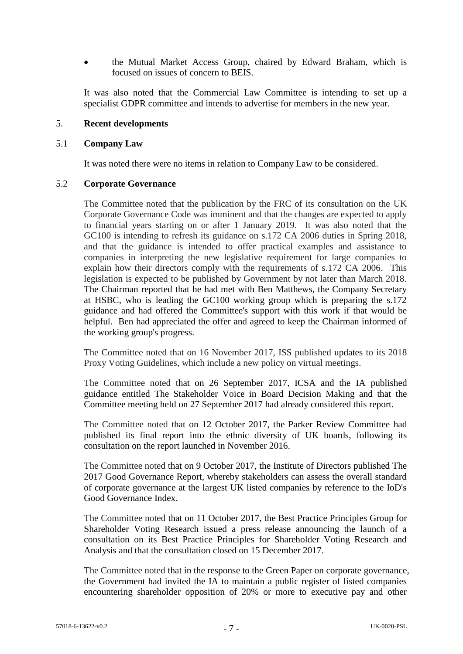the Mutual Market Access Group, chaired by Edward Braham, which is focused on issues of concern to BEIS.

It was also noted that the Commercial Law Committee is intending to set up a specialist GDPR committee and intends to advertise for members in the new year.

### 5. **Recent developments**

### 5.1 **Company Law**

It was noted there were no items in relation to Company Law to be considered.

### 5.2 **Corporate Governance**

The Committee noted that the publication by the FRC of its consultation on the UK Corporate Governance Code was imminent and that the changes are expected to apply to financial years starting on or after 1 January 2019. It was also noted that the GC100 is intending to refresh its guidance on s.172 CA 2006 duties in Spring 2018, and that the guidance is intended to offer practical examples and assistance to companies in interpreting the new legislative requirement for large companies to explain how their directors comply with the requirements of s.172 CA 2006. This legislation is expected to be published by Government by not later than March 2018. The Chairman reported that he had met with Ben Matthews, the Company Secretary at HSBC, who is leading the GC100 working group which is preparing the s.172 guidance and had offered the Committee's support with this work if that would be helpful. Ben had appreciated the offer and agreed to keep the Chairman informed of the working group's progress.

The Committee noted that on 16 November 2017, ISS published updates to its 2018 Proxy Voting Guidelines, which include a new policy on virtual meetings.

The Committee noted that on 26 September 2017, ICSA and the IA published guidance entitled The Stakeholder Voice in Board Decision Making and that the Committee meeting held on 27 September 2017 had already considered this report.

The Committee noted that on 12 October 2017, the Parker Review Committee had published its final report into the ethnic diversity of UK boards, following its consultation on the report launched in November 2016.

The Committee noted that on 9 October 2017, the Institute of Directors published The 2017 Good Governance Report, whereby stakeholders can assess the overall standard of corporate governance at the largest UK listed companies by reference to the IoD's Good Governance Index.

The Committee noted that on 11 October 2017, the Best Practice Principles Group for Shareholder Voting Research issued a press release announcing the launch of a consultation on its Best Practice Principles for Shareholder Voting Research and Analysis and that the consultation closed on 15 December 2017.

The Committee noted that in the response to the Green Paper on corporate governance, the Government had invited the IA to maintain a public register of listed companies encountering shareholder opposition of 20% or more to executive pay and other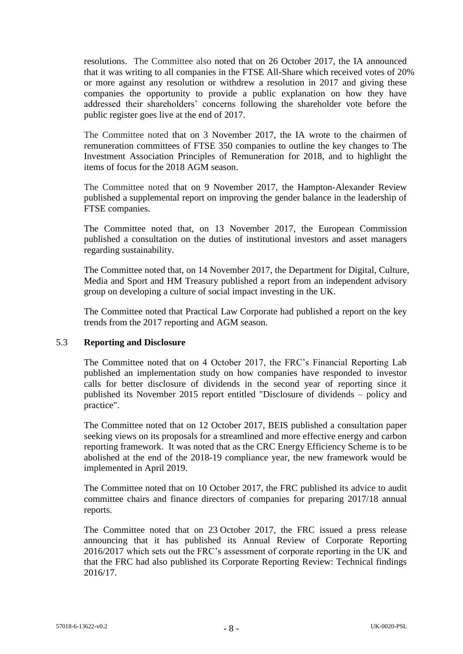resolutions. The Committee also noted that on 26 October 2017, the IA announced that it was writing to all companies in the FTSE All-Share which received votes of 20% or more against any resolution or withdrew a resolution in 2017 and giving these companies the opportunity to provide a public explanation on how they have addressed their shareholders' concerns following the shareholder vote before the public register goes live at the end of 2017.

The Committee noted that on 3 November 2017, the IA wrote to the chairmen of remuneration committees of FTSE 350 companies to outline the key changes to The Investment Association Principles of Remuneration for 2018, and to highlight the items of focus for the 2018 AGM season.

The Committee noted that on 9 November 2017, the Hampton-Alexander Review published a supplemental report on improving the gender balance in the leadership of FTSE companies.

The Committee noted that, on 13 November 2017, the European Commission published a consultation on the duties of institutional investors and asset managers regarding sustainability.

The Committee noted that, on 14 November 2017, the Department for Digital, Culture, Media and Sport and HM Treasury published a report from an independent advisory group on developing a culture of social impact investing in the UK.

The Committee noted that Practical Law Corporate had published a report on the key trends from the 2017 reporting and AGM season.

## 5.3 **Reporting and Disclosure**

The Committee noted that on 4 October 2017, the FRC's Financial Reporting Lab published an implementation study on how companies have responded to investor calls for better disclosure of dividends in the second year of reporting since it published its November 2015 report entitled "Disclosure of dividends – policy and practice".

The Committee noted that on 12 October 2017, BEIS published a consultation paper seeking views on its proposals for a streamlined and more effective energy and carbon reporting framework. It was noted that as the CRC Energy Efficiency Scheme is to be abolished at the end of the 2018-19 compliance year, the new framework would be implemented in April 2019.

The Committee noted that on 10 October 2017, the FRC published its advice to audit committee chairs and finance directors of companies for preparing 2017/18 annual reports.

The Committee noted that on 23 October 2017, the FRC issued a press release announcing that it has published its Annual Review of Corporate Reporting 2016/2017 which sets out the FRC's assessment of corporate reporting in the UK and that the FRC had also published its Corporate Reporting Review: Technical findings 2016/17.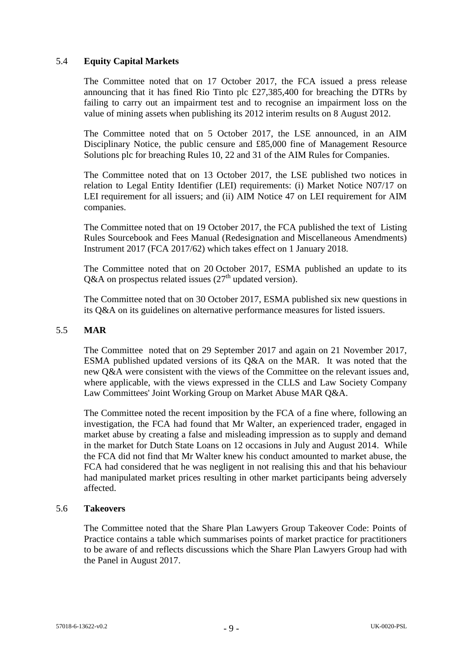# 5.4 **Equity Capital Markets**

The Committee noted that on 17 October 2017, the FCA issued a press release announcing that it has fined Rio Tinto plc £27,385,400 for breaching the DTRs by failing to carry out an impairment test and to recognise an impairment loss on the value of mining assets when publishing its 2012 interim results on 8 August 2012.

The Committee noted that on 5 October 2017, the LSE announced, in an AIM Disciplinary Notice, the public censure and £85,000 fine of Management Resource Solutions plc for breaching Rules 10, 22 and 31 of the AIM Rules for Companies.

The Committee noted that on 13 October 2017, the LSE published two notices in relation to Legal Entity Identifier (LEI) requirements: (i) Market Notice N07/17 on LEI requirement for all issuers; and (ii) AIM Notice 47 on LEI requirement for AIM companies.

The Committee noted that on 19 October 2017, the FCA published the text of Listing Rules Sourcebook and Fees Manual (Redesignation and Miscellaneous Amendments) Instrument 2017 (FCA 2017/62) which takes effect on 1 January 2018.

The Committee noted that on 20 October 2017, ESMA published an update to its Q&A on prospectus related issues  $(27<sup>th</sup>$  updated version).

The Committee noted that on 30 October 2017, ESMA published six new questions in its Q&A on its guidelines on alternative performance measures for listed issuers.

## 5.5 **MAR**

The Committee noted that on 29 September 2017 and again on 21 November 2017, ESMA published updated versions of its Q&A on the MAR. It was noted that the new Q&A were consistent with the views of the Committee on the relevant issues and, where applicable, with the views expressed in the CLLS and Law Society Company Law Committees' Joint Working Group on Market Abuse MAR Q&A.

The Committee noted the recent imposition by the FCA of a fine where, following an investigation, the FCA had found that Mr Walter, an experienced trader, engaged in market abuse by creating a false and misleading impression as to supply and demand in the market for Dutch State Loans on 12 occasions in July and August 2014. While the FCA did not find that Mr Walter knew his conduct amounted to market abuse, the FCA had considered that he was negligent in not realising this and that his behaviour had manipulated market prices resulting in other market participants being adversely affected.

## 5.6 **Takeovers**

The Committee noted that the Share Plan Lawyers Group Takeover Code: Points of Practice contains a table which summarises points of market practice for practitioners to be aware of and reflects discussions which the Share Plan Lawyers Group had with the Panel in August 2017.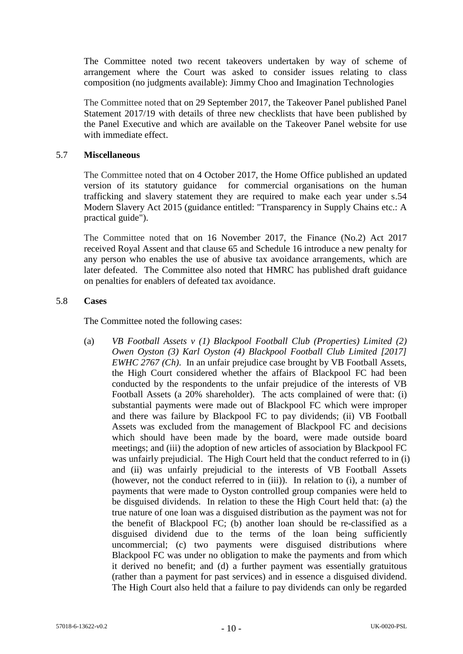The Committee noted two recent takeovers undertaken by way of scheme of arrangement where the Court was asked to consider issues relating to class composition (no judgments available): Jimmy Choo and Imagination Technologies

The Committee noted that on 29 September 2017, the Takeover Panel published Panel Statement 2017/19 with details of three new checklists that have been published by the Panel Executive and which are available on the Takeover Panel website for use with immediate effect.

## 5.7 **Miscellaneous**

The Committee noted that on 4 October 2017, the Home Office published an updated version of its statutory guidance for commercial organisations on the human trafficking and slavery statement they are required to make each year under s.54 Modern Slavery Act 2015 (guidance entitled: "Transparency in Supply Chains etc.: A practical guide").

The Committee noted that on 16 November 2017, the Finance (No.2) Act 2017 received Royal Assent and that clause 65 and Schedule 16 introduce a new penalty for any person who enables the use of abusive tax avoidance arrangements, which are later defeated. The Committee also noted that HMRC has published draft guidance on penalties for enablers of defeated tax avoidance.

## 5.8 **Cases**

The Committee noted the following cases:

(a) *VB Football Assets v (1) Blackpool Football Club (Properties) Limited (2) Owen Oyston (3) Karl Oyston (4) Blackpool Football Club Limited [2017] EWHC 2767 (Ch)*. In an unfair prejudice case brought by VB Football Assets, the High Court considered whether the affairs of Blackpool FC had been conducted by the respondents to the unfair prejudice of the interests of VB Football Assets (a 20% shareholder). The acts complained of were that: (i) substantial payments were made out of Blackpool FC which were improper and there was failure by Blackpool FC to pay dividends; (ii) VB Football Assets was excluded from the management of Blackpool FC and decisions which should have been made by the board, were made outside board meetings; and (iii) the adoption of new articles of association by Blackpool FC was unfairly prejudicial. The High Court held that the conduct referred to in (i) and (ii) was unfairly prejudicial to the interests of VB Football Assets (however, not the conduct referred to in (iii)). In relation to (i), a number of payments that were made to Oyston controlled group companies were held to be disguised dividends. In relation to these the High Court held that: (a) the true nature of one loan was a disguised distribution as the payment was not for the benefit of Blackpool FC; (b) another loan should be re-classified as a disguised dividend due to the terms of the loan being sufficiently uncommercial; (c) two payments were disguised distributions where Blackpool FC was under no obligation to make the payments and from which it derived no benefit; and (d) a further payment was essentially gratuitous (rather than a payment for past services) and in essence a disguised dividend. The High Court also held that a failure to pay dividends can only be regarded